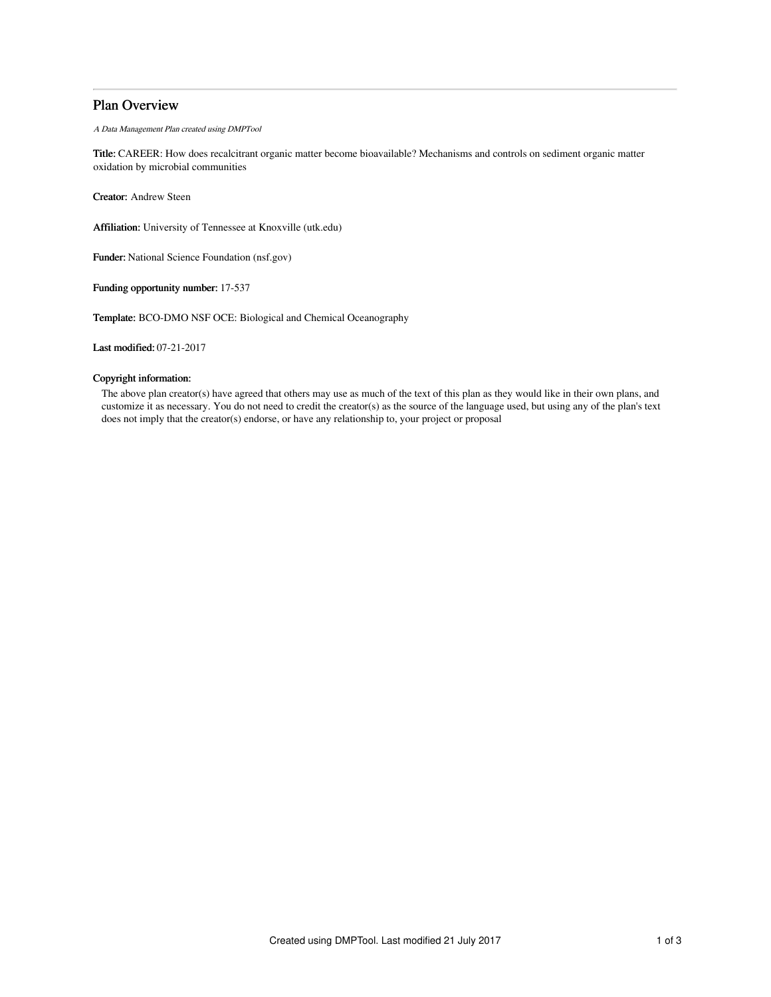# Plan Overview

A Data Management Plan created using DMPTool

Title: CAREER: How does recalcitrant organic matter become bioavailable? Mechanisms and controls on sediment organic matter oxidation by microbial communities

Creator: Andrew Steen

Affiliation: University of Tennessee at Knoxville (utk.edu)

Funder: National Science Foundation (nsf.gov)

Funding opportunity number: 17-537

Template: BCO-DMO NSF OCE: Biological and Chemical Oceanography

Last modified: 07-21-2017

## Copyright information:

The above plan creator(s) have agreed that others may use as much of the text of this plan as they would like in their own plans, and customize it as necessary. You do not need to credit the creator(s) as the source of the language used, but using any of the plan's text does not imply that the creator(s) endorse, or have any relationship to, your project or proposal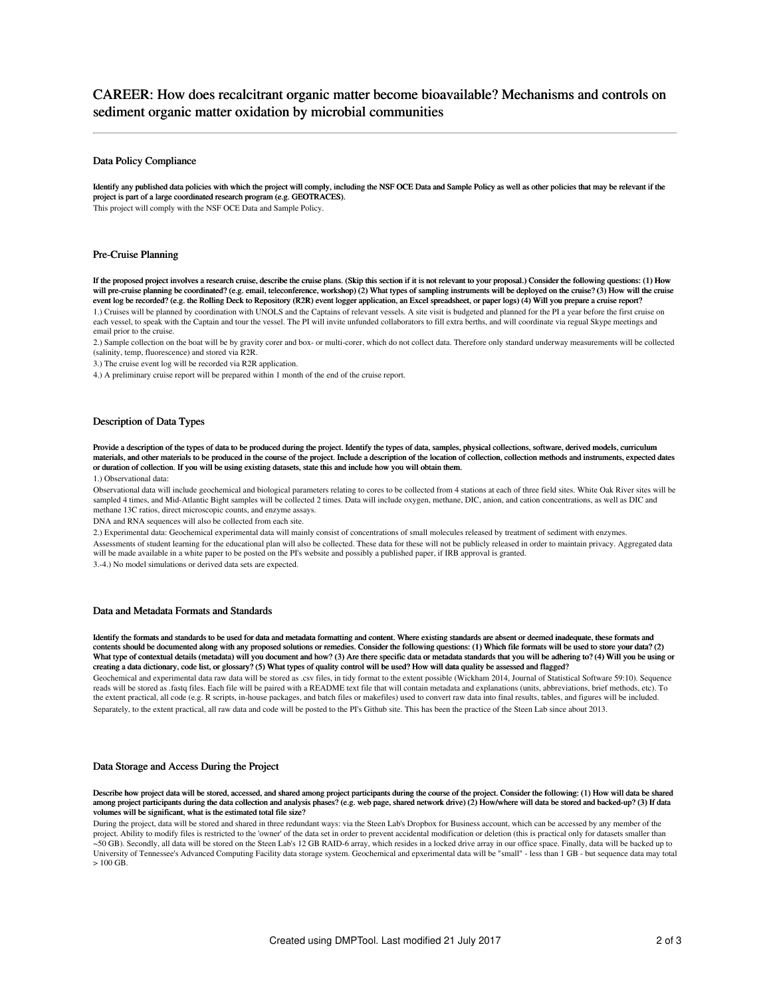# CAREER: How does recalcitrant organic matter become bioavailable? Mechanisms and controls on sediment organic matter oxidation by microbial communities

### Data Policy Compliance

Identify any published data policies with which the project will comply, including the NSF OCE Data and Sample Policy as well as other policies that may be relevant if the project is part of a large coordinated research program (e.g. GEOTRACES).

This project will comply with the NSF OCE Data and Sample Policy.

### Pre-Cruise Planning

If the proposed project involves a research cruise, describe the cruise plans. (Skip this section if it is not relevant to your proposal.) Consider the following questions: (1) How will pre-cruise planning be coordinated? (e.g. email, teleconference, workshop) (2) What types of sampling instruments will be deployed on the cruise? (3) How will the cruise event log be recorded? (e.g. the Rolling Deck to Repository (R2R) event logger application, an Excel spreadsheet, or paper logs) (4) Will you prepare a cruise report? 1.) Cruises will be planned by coordination with UNOLS and the Captains of relevant vessels. A site visit is budgeted and planned for the PI a year before the first cruise on each vessel, to speak with the Captain and tour the vessel. The PI will invite unfunded collaborators to fill extra berths, and will coordinate via regual Skype meetings and email prior to the cruise.

2.) Sample collection on the boat will be by gravity corer and box- or multi-corer, which do not collect data. Therefore only standard underway measurements will be collected (salinity, temp, fluorescence) and stored via R2R.

3.) The cruise event log will be recorded via R2R application.

4.) A preliminary cruise report will be prepared within 1 month of the end of the cruise report.

# Description of Data Types

Provide a description of the types of data to be produced during the project. Identify the types of data, samples, physical collections, software, derived models, curriculum materials, and other materials to be produced in the course of the project. Include a description of the location of collection, collection methods and instruments, expected dates or duration of collection. If you will be using existing datasets, state this and include how you will obtain them.

#### 1.) Observational data:

Observational data will include geochemical and biological parameters relating to cores to be collected from 4 stations at each of three field sites. White Oak River sites will be sampled 4 times, and Mid-Atlantic Bight samples will be collected 2 times. Data will include oxygen, methane, DIC, anion, and cation concentrations, as well as DIC and methane 13C ratios, direct microscopic counts, and enzyme assays.

DNA and RNA sequences will also be collected from each site.

2.) Experimental data: Geochemical experimental data will mainly consist of concentrations of small molecules released by treatment of sediment with enzymes. Assessments of student learning for the educational plan will also be collected. These data for these will not be publicly released in order to maintain privacy. Aggregated data will be made available in a white paper to be posted on the PI's website and possibly a published paper, if IRB approval is granted. 3.-4.) No model simulations or derived data sets are expected.

### Data and Metadata Formats and Standards

Identify the formats and standards to be used for data and metadata formatting and content. Where existing standards are absent or deemed inadequate, these formats and contents should be documented along with any proposed solutions or remedies. Consider the following questions: (1) Which file formats will be used to store your data? (2) What type of contextual details (metadata) will you document and how? (3) Are there specific data or metadata standards that you will be adhering to? (4) Will you be using or creating a data dictionary, code list, or glossary? (5) What types of quality control will be used? How will data quality be assessed and flagged?

Geochemical and experimental data raw data will be stored as .csv files, in tidy format to the extent possible (Wickham 2014, Journal of Statistical Software 59:10). Sequence reads will be stored as .fastq files. Each file will be paired with a README text file that will contain metadata and explanations (units, abbreviations, brief methods, etc). To the extent practical, all code (e.g. R scripts, in-house packages, and batch files or makefiles) used to convert raw data into final results, tables, and figures will be included. Separately, to the extent practical, all raw data and code will be posted to the PI's Github site. This has been the practice of the Steen Lab since about 2013.

### Data Storage and Access During the Project

Describe how project data will be stored, accessed, and shared among project participants during the course of the project. Consider the following: (1) How will data be shared among project participants during the data collection and analysis phases? (e.g. web page, shared network drive) (2) How/where will data be stored and backed-up? (3) If data volumes will be significant, what is the estimated total file size?

During the project, data will be stored and shared in three redundant ways: via the Steen Lab's Dropbox for Business account, which can be accessed by any member of the project. Ability to modify files is restricted to the 'owner' of the data set in order to prevent accidental modification or deletion (this is practical only for datasets smaller than ~50 GB). Secondly, all data will be stored on the Steen Lab's 12 GB RAID-6 array, which resides in a locked drive array in our office space. Finally, data will be backed up to University of Tennessee's Advanced Computing Facility data storage system. Geochemical and epxerimental data will be "small" - less than 1 GB - but sequence data may total  $> 100 \text{ GB}$